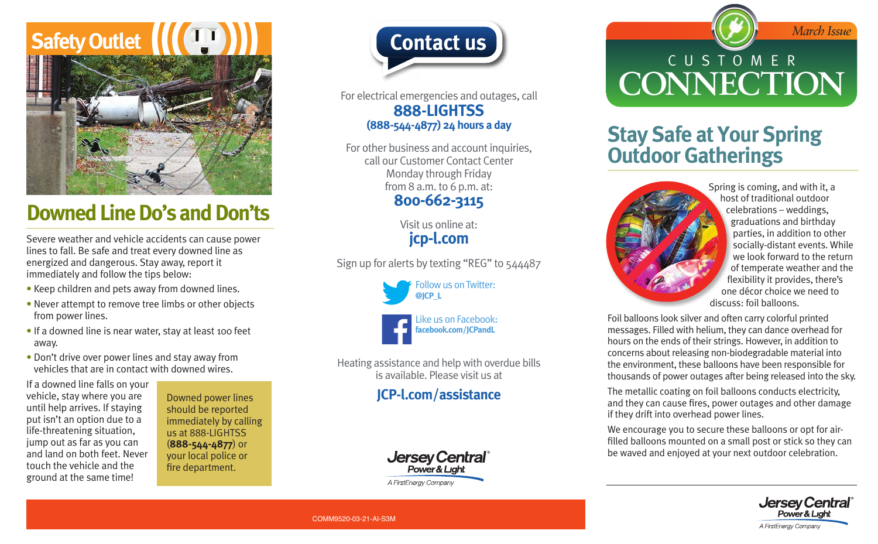# **Safety Outlet**



## **Downed Line Do's and Don'ts**

Severe weather and vehicle accidents can cause power lines to fall. Be safe and treat every downed line as energized and dangerous. Stay away, report it immediately and follow the tips below:

- Keep children and pets away from downed lines.
- Never attempt to remove tree limbs or other objects from power lines.
- If a downed line is near water, stay at least 100 feet away.
- Don't drive over power lines and stay away from vehicles that are in contact with downed wires.

If a downed line falls on your vehicle, stay where you are until help arrives. If staying put isn't an option due to a life-threatening situation, jump out as far as you can and land on both feet. Never touch the vehicle and the ground at the same time!

Downed power lines should be reported immediately by calling us at 888-LIGHTSS (**888-544-4877**) or your local police or fire department.



For electrical emergencies and outages, call **888-LIGHTSS (888-544-4877) 24 hours a day**

For other business and account inquiries, call our Customer Contact Center Monday through Friday from 8 a.m. to 6 p.m. at:

#### **800-662-3115**

Visit us online at: **[jcp-l.com](https://www.firstenergycorp.com/jersey_central_power_light.html)**

Sign up for alerts by texting "REG" to 544487

Follow us on Twitter: **[@JCP\\_L](https://twitter.com/jcp_l)**



Heating assistance and help with overdue bills is available. Please visit us at

#### **[JCP-l.com/assistance](https://www.firstenergycorp.com/help/billingpayments/assistance_serviceprogram/jersey_central_powerlight.html?utm_source=offline&utm_medium=offline&utm_term=&utm_content=jcpl|offline|BillAssistance|LearnMore&utm_campaign=firstenergy|BillAssistance|BillAssistance|jcpl|all|97977)**



**Contact us Contact us** CUSTOMER **CONNECTION**

## **Stay Safe at Your Spring Outdoor Gatherings**



Spring is coming, and with it, a host of traditional outdoor celebrations – weddings, graduations and birthday parties, in addition to other socially-distant events. While we look forward to the return of temperate weather and the flexibility it provides, there's one décor choice we need to discuss: foil balloons.

Foil balloons look silver and often carry colorful printed messages. Filled with helium, they can dance overhead for hours on the ends of their strings. However, in addition to concerns about releasing non-biodegradable material into the environment, these balloons have been responsible for thousands of power outages after being released into the sky.

The metallic coating on foil balloons conducts electricity, and they can cause fires, power outages and other damage if they drift into overhead power lines.

We encourage you to secure these balloons or opt for airfilled balloons mounted on a small post or stick so they can be waved and enjoyed at your next outdoor celebration.



COMM9520-03-21-AI-S3M